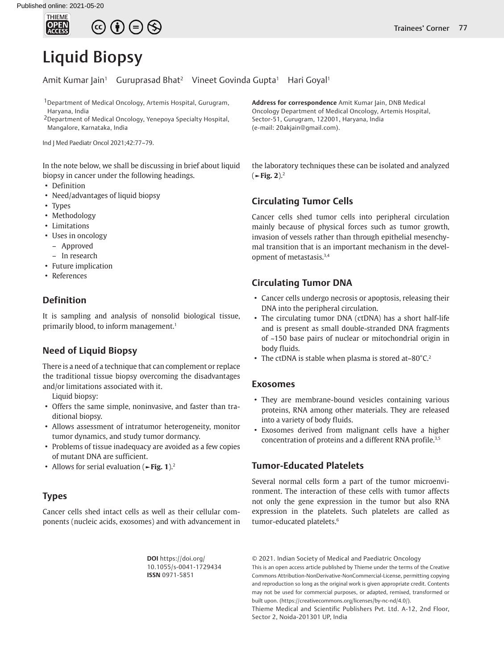

# Liquid Biopsy

Amit Kumar Jain<sup>1</sup> Guruprasad Bhat<sup>2</sup> Vineet Govinda Gupta<sup>1</sup> Hari Goyal<sup>1</sup>

1Department of Medical Oncology, Artemis Hospital, Gurugram, Haryana, India

2Department of Medical Oncology, Yenepoya Specialty Hospital, Mangalore, Karnataka, India

Ind J Med Paediatr Oncol 2021;42:77–79.

In the note below, we shall be discussing in brief about liquid biopsy in cancer under the following headings.

- Definition
- Need/advantages of liquid biopsy
- Types
- Methodology
- Limitations
- Uses in oncology
- Approved
- In research
- Future implication
- References

# **Definition**

It is sampling and analysis of nonsolid biological tissue, primarily blood, to inform management.<sup>1</sup>

# **Need of Liquid Biopsy**

There is a need of a technique that can complement or replace the traditional tissue biopsy overcoming the disadvantages and/or limitations associated with it.

Liquid biopsy:

- Offers the same simple, noninvasive, and faster than traditional biopsy.
- Allows assessment of intratumor heterogeneity, monitor tumor dynamics, and study tumor dormancy.
- Problems of tissue inadequacy are avoided as a few copies of mutant DNA are sufficient.
- Allows for serial evaluation (**►Fig. 1**).2

## **Types**

Cancer cells shed intact cells as well as their cellular components (nucleic acids, exosomes) and with advancement in **Address for correspondence** Amit Kumar Jain, DNB Medical Oncology Department of Medical Oncology, Artemis Hospital, Sector-51, Gurugram, 122001, Haryana, India (e-mail: 20akjain@gmail.com).

the laboratory techniques these can be isolated and analyzed (**►Fig. 2**).2

# **Circulating Tumor Cells**

Cancer cells shed tumor cells into peripheral circulation mainly because of physical forces such as tumor growth, invasion of vessels rather than through epithelial mesenchymal transition that is an important mechanism in the development of metastasis.3,4

## **Circulating Tumor DNA**

- Cancer cells undergo necrosis or apoptosis, releasing their DNA into the peripheral circulation.
- The circulating tumor DNA (ctDNA) has a short half-life and is present as small double-stranded DNA fragments of ~150 base pairs of nuclear or mitochondrial origin in body fluids.
- The ctDNA is stable when plasma is stored at-80°C.<sup>2</sup>

## **Exosomes**

- They are membrane-bound vesicles containing various proteins, RNA among other materials. They are released into a variety of body fluids.
- Exosomes derived from malignant cells have a higher concentration of proteins and a different RNA profile.<sup>3,5</sup>

## **Tumor-Educated Platelets**

Several normal cells form a part of the tumor microenvironment. The interaction of these cells with tumor affects not only the gene expression in the tumor but also RNA expression in the platelets. Such platelets are called as tumor-educated platelets.<sup>6</sup>

**DOI** https://doi.org/ 10.1055/s-0041-1729434 **ISSN** 0971-5851

© 2021. Indian Society of Medical and Paediatric Oncology

This is an open access article published by Thieme under the terms of the Creative Commons Attribution-NonDerivative-NonCommercial-License, permitting copying and reproduction so long as the original work is given appropriate credit. Contents may not be used for commercial purposes, or adapted, remixed, transformed or built upon. (https://creativecommons.org/licenses/by-nc-nd/4.0/).

Thieme Medical and Scientific Publishers Pvt. Ltd. A-12, 2nd Floor, Sector 2, Noida-201301 UP, India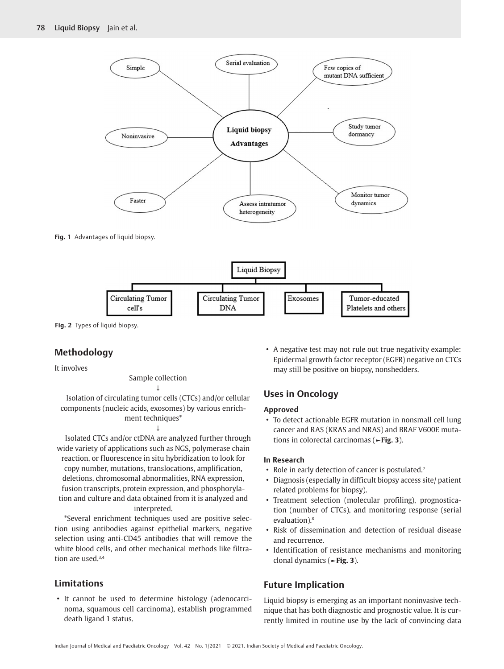



**Fig. 2** Types of liquid biopsy.

# **Methodology**

It involves

## Sample collection ↓

Isolation of circulating tumor cells (CTCs) and/or cellular components (nucleic acids, exosomes) by various enrichment techniques\*

#### ↓

Isolated CTCs and/or ctDNA are analyzed further through wide variety of applications such as NGS, polymerase chain reaction, or fluorescence in situ hybridization to look for copy number, mutations, translocations, amplification, deletions, chromosomal abnormalities, RNA expression, fusion transcripts, protein expression, and phosphorylation and culture and data obtained from it is analyzed and interpreted.

\*Several enrichment techniques used are positive selection using antibodies against epithelial markers, negative selection using anti-CD45 antibodies that will remove the white blood cells, and other mechanical methods like filtration are used.<sup>3,4</sup>

# **Limitations**

• It cannot be used to determine histology (adenocarcinoma, squamous cell carcinoma), establish programmed death ligand 1 status.

• A negative test may not rule out true negativity example: Epidermal growth factor receptor (EGFR) negative on CTCs may still be positive on biopsy, nonshedders.

# **Uses in Oncology**

## **Approved**

• To detect actionable EGFR mutation in nonsmall cell lung cancer and RAS (KRAS and NRAS) and BRAF V600E mutations in colorectal carcinomas (**►Fig. 3**).

## **In Research**

- Role in early detection of cancer is postulated.<sup>7</sup>
- Diagnosis (especially in difficult biopsy access site/ patient related problems for biopsy).
- Treatment selection (molecular profiling), prognostication (number of CTCs), and monitoring response (serial evaluation).8
- Risk of dissemination and detection of residual disease and recurrence.
- Identification of resistance mechanisms and monitoring clonal dynamics (**►Fig. 3**).

# **Future Implication**

Liquid biopsy is emerging as an important noninvasive technique that has both diagnostic and prognostic value. It is currently limited in routine use by the lack of convincing data